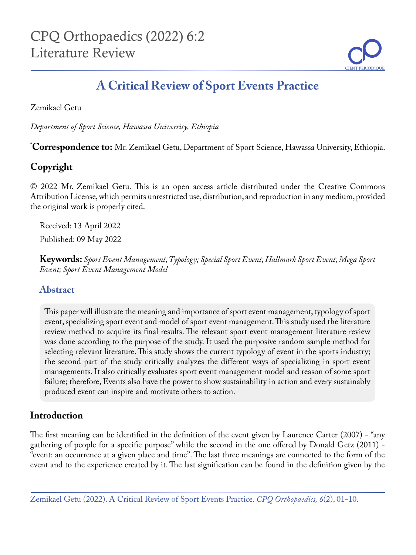

# **A Critical Review of Sport Events Practice**

Zemikael Getu

*Department of Sport Science, Hawassa University, Ethiopia*

**\* Correspondence to:** Mr. Zemikael Getu, Department of Sport Science, Hawassa University, Ethiopia.

# **Copyright**

© 2022 Mr. Zemikael Getu. This is an open access article distributed under the Creative Commons Attribution License, which permits unrestricted use, distribution, and reproduction in any medium, provided the original work is properly cited.

Received: 13 April 2022 Published: 09 May 2022

**Keywords:** *Sport Event Management; Typology; Special Sport Event; Hallmark Sport Event; Mega Sport Event; Sport Event Management Model*

## **Abstract**

This paper will illustrate the meaning and importance of sport event management, typology of sport event, specializing sport event and model of sport event management. This study used the literature review method to acquire its final results. The relevant sport event management literature review was done according to the purpose of the study. It used the purposive random sample method for selecting relevant literature. This study shows the current typology of event in the sports industry; the second part of the study critically analyzes the different ways of specializing in sport event managements. It also critically evaluates sport event management model and reason of some sport failure; therefore, Events also have the power to show sustainability in action and every sustainably produced event can inspire and motivate others to action.

# **Introduction**

The first meaning can be identified in the definition of the event given by Laurence Carter (2007) - "any gathering of people for a specific purpose" while the second in the one offered by Donald Getz (2011) - "event: an occurrence at a given place and time". The last three meanings are connected to the form of the event and to the experience created by it. The last signification can be found in the definition given by the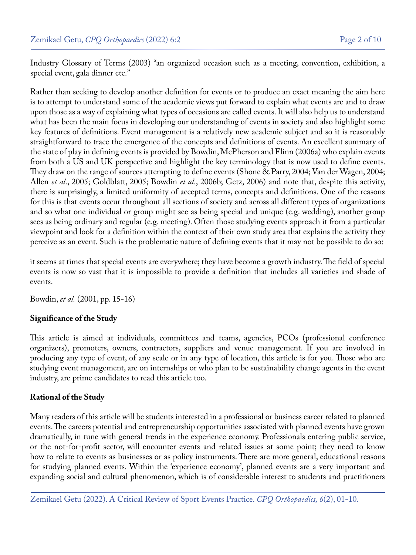Industry Glossary of Terms (2003) "an organized occasion such as a meeting, convention, exhibition, a special event, gala dinner etc."

Rather than seeking to develop another definition for events or to produce an exact meaning the aim here is to attempt to understand some of the academic views put forward to explain what events are and to draw upon those as a way of explaining what types of occasions are called events. It will also help us to understand what has been the main focus in developing our understanding of events in society and also highlight some key features of definitions. Event management is a relatively new academic subject and so it is reasonably straightforward to trace the emergence of the concepts and definitions of events. An excellent summary of the state of play in defining events is provided by Bowdin, McPherson and Flinn (2006a) who explain events from both a US and UK perspective and highlight the key terminology that is now used to define events. They draw on the range of sources attempting to define events (Shone & Parry, 2004; Van der Wagen, 2004; Allen *et al*., 2005; Goldblatt, 2005; Bowdin *et al*., 2006b; Getz, 2006) and note that, despite this activity, there is surprisingly, a limited uniformity of accepted terms, concepts and definitions. One of the reasons for this is that events occur throughout all sections of society and across all different types of organizations and so what one individual or group might see as being special and unique (e.g. wedding), another group sees as being ordinary and regular (e.g. meeting). Often those studying events approach it from a particular viewpoint and look for a definition within the context of their own study area that explains the activity they perceive as an event. Such is the problematic nature of defining events that it may not be possible to do so:

it seems at times that special events are everywhere; they have become a growth industry. The field of special events is now so vast that it is impossible to provide a definition that includes all varieties and shade of events.

Bowdin, *et al.* (2001, pp. 15-16)

### **Significance of the Study**

This article is aimed at individuals, committees and teams, agencies, PCOs (professional conference organizers), promoters, owners, contractors, suppliers and venue management. If you are involved in producing any type of event, of any scale or in any type of location, this article is for you. Those who are studying event management, are on internships or who plan to be sustainability change agents in the event industry, are prime candidates to read this article too.

### **Rational of the Study**

Many readers of this article will be students interested in a professional or business career related to planned events. The careers potential and entrepreneurship opportunities associated with planned events have grown dramatically, in tune with general trends in the experience economy. Professionals entering public service, or the not-for-profit sector, will encounter events and related issues at some point; they need to know how to relate to events as businesses or as policy instruments. There are more general, educational reasons for studying planned events. Within the 'experience economy', planned events are a very important and expanding social and cultural phenomenon, which is of considerable interest to students and practitioners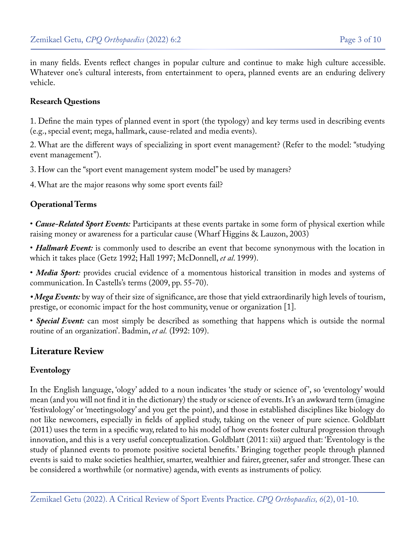in many fields. Events reflect changes in popular culture and continue to make high culture accessible. Whatever one's cultural interests, from entertainment to opera, planned events are an enduring delivery vehicle.

#### **Research Questions**

1. Define the main types of planned event in sport (the typology) and key terms used in describing events (e.g., special event; mega, hallmark, cause-related and media events).

2. What are the different ways of specializing in sport event management? (Refer to the model: "studying event management").

3. How can the "sport event management system model" be used by managers?

4. What are the major reasons why some sport events fail?

### **Operational Terms**

• *Cause-Related Sport Events:* Participants at these events partake in some form of physical exertion while raising money or awareness for a particular cause (Wharf Higgins & Lauzon, 2003)

• *Hallmark Event*: is commonly used to describe an event that become synonymous with the location in which it takes place (Getz 1992; Hall 1997; McDonnell, *et al*. 1999).

• *Media Sport:* provides crucial evidence of a momentous historical transition in modes and systems of communication. In Castells's terms (2009, pp. 55-70).

*• Mega Events:* by way of their size of significance, are those that yield extraordinarily high levels of tourism, prestige, or economic impact for the host community, venue or organization [1].

• *Special Event:* can most simply be described as something that happens which is outside the normal routine of an organization'. Badmin, *et al.* (I992: 109).

### **Literature Review**

### **Eventology**

In the English language, 'ology' added to a noun indicates 'the study or science of ', so 'eventology' would mean (and you will not find it in the dictionary) the study or science of events. It's an awkward term (imagine 'festivalology' or 'meetingsology' and you get the point), and those in established disciplines like biology do not like newcomers, especially in fields of applied study, taking on the veneer of pure science. Goldblatt (2011) uses the term in a specific way, related to his model of how events foster cultural progression through innovation, and this is a very useful conceptualization. Goldblatt (2011: xii) argued that: 'Eventology is the study of planned events to promote positive societal benefits.' Bringing together people through planned events is said to make societies healthier, smarter, wealthier and fairer, greener, safer and stronger. These can be considered a worthwhile (or normative) agenda, with events as instruments of policy.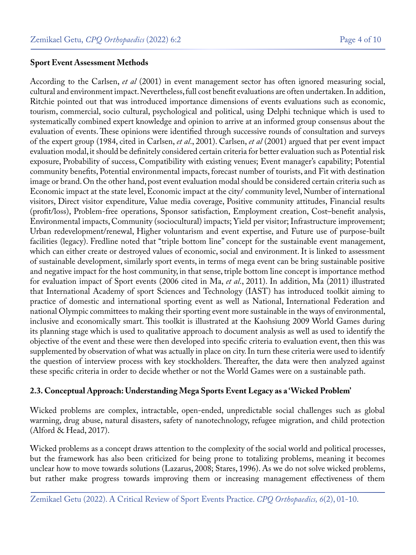#### **Sport Event Assessment Methods**

According to the Carlsen, *et al* (2001) in event management sector has often ignored measuring social, cultural and environment impact. Nevertheless, full cost benefit evaluations are often undertaken. In addition, Ritchie pointed out that was introduced importance dimensions of events evaluations such as economic, tourism, commercial, socio cultural, psychological and political, using Delphi technique which is used to systematically combined expert knowledge and opinion to arrive at an informed group consensus about the evaluation of events. These opinions were identified through successive rounds of consultation and surveys of the expert group (1984, cited in Carlsen, *et al*., 2001). Carlsen, *et al* (2001) argued that per event impact evaluation modal, it should be definitely considered certain criteria for better evaluation such as Potential risk exposure, Probability of success, Compatibility with existing venues; Event manager's capability; Potential community benefits, Potential environmental impacts, forecast number of tourists, and Fit with destination image or brand. On the other hand, post event evaluation modal should be considered certain criteria such as Economic impact at the state level, Economic impact at the city/ community level, Number of international visitors, Direct visitor expenditure, Value media coverage, Positive community attitudes, Financial results (profit/loss), Problem-free operations, Sponsor satisfaction, Employment creation, Cost–benefit analysis, Environmental impacts, Community (sociocultural) impacts; Yield per visitor; Infrastructure improvement; Urban redevelopment/renewal, Higher voluntarism and event expertise, and Future use of purpose-built facilities (legacy). Fredline noted that "triple bottom line" concept for the sustainable event management, which can either create or destroyed values of economic, social and environment. It is linked to assessment of sustainable development, similarly sport events, in terms of mega event can be bring sustainable positive and negative impact for the host community, in that sense, triple bottom line concept is importance method for evaluation impact of Sport events (2006 cited in Ma, *et al*., 2011). In addition, Ma (2011) illustrated that International Academy of sport Sciences and Technology (IAST) has introduced toolkit aiming to practice of domestic and international sporting event as well as National, International Federation and national Olympic committees to making their sporting event more sustainable in the ways of environmental, inclusive and economically smart. This toolkit is illustrated at the Kaohsiung 2009 World Games during its planning stage which is used to qualitative approach to document analysis as well as used to identify the objective of the event and these were then developed into specific criteria to evaluation event, then this was supplemented by observation of what was actually in place on city. In turn these criteria were used to identify the question of interview process with key stockholders. Thereafter, the data were then analyzed against these specific criteria in order to decide whether or not the World Games were on a sustainable path.

### **2.3. Conceptual Approach: Understanding Mega Sports Event Legacy as a 'Wicked Problem'**

Wicked problems are complex, intractable, open-ended, unpredictable social challenges such as global warming, drug abuse, natural disasters, safety of nanotechnology, refugee migration, and child protection (Alford & Head, 2017).

Wicked problems as a concept draws attention to the complexity of the social world and political processes, but the framework has also been criticized for being prone to totalizing problems, meaning it becomes unclear how to move towards solutions (Lazarus, 2008; Stares, 1996). As we do not solve wicked problems, but rather make progress towards improving them or increasing management effectiveness of them

Zemikael Getu (2022). A Critical Review of Sport Events Practice. *CPQ Orthopaedics, 6*(2), 01-10.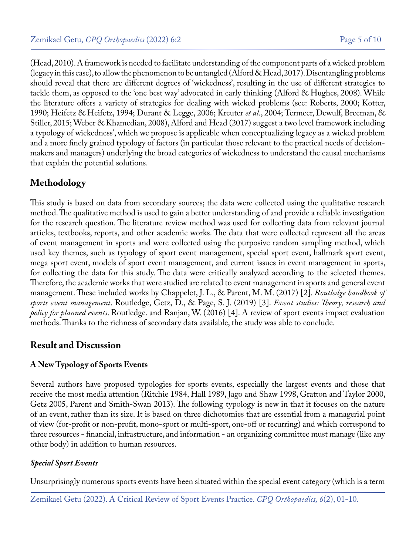(Head, 2010). A framework is needed to facilitate understanding of the component parts of a wicked problem (legacy in this case), to allow the phenomenon to be untangled (Alford & Head, 2017). Disentangling problems should reveal that there are different degrees of 'wickedness', resulting in the use of different strategies to tackle them, as opposed to the 'one best way' advocated in early thinking (Alford & Hughes, 2008). While the literature offers a variety of strategies for dealing with wicked problems (see: Roberts, 2000; Kotter, 1990; Heifetz & Heifetz, 1994; Durant & Legge, 2006; Kreuter *et al*., 2004; Termeer, Dewulf, Breeman, & Stiller, 2015; Weber & Khamedian, 2008), Alford and Head (2017) suggest a two level framework including a typology of wickedness', which we propose is applicable when conceptualizing legacy as a wicked problem and a more finely grained typology of factors (in particular those relevant to the practical needs of decisionmakers and managers) underlying the broad categories of wickedness to understand the causal mechanisms that explain the potential solutions.

# **Methodology**

This study is based on data from secondary sources; the data were collected using the qualitative research method. The qualitative method is used to gain a better understanding of and provide a reliable investigation for the research question. The literature review method was used for collecting data from relevant journal articles, textbooks, reports, and other academic works. The data that were collected represent all the areas of event management in sports and were collected using the purposive random sampling method, which used key themes, such as typology of sport event management, special sport event, hallmark sport event, mega sport event, models of sport event management, and current issues in event management in sports, for collecting the data for this study. The data were critically analyzed according to the selected themes. Therefore, the academic works that were studied are related to event management in sports and general event management. These included works by Chappelet, J. L., & Parent, M. M. (2017) [2]. *Routledge handbook of sports event management*. Routledge, Getz, D., & Page, S. J. (2019) [3]. *Event studies: Theory, research and policy for planned events*. Routledge. and Ranjan, W. (2016) [4]. A review of sport events impact evaluation methods. Thanks to the richness of secondary data available, the study was able to conclude.

## **Result and Discussion**

### **A New Typology of Sports Events**

Several authors have proposed typologies for sports events, especially the largest events and those that receive the most media attention (Ritchie 1984, Hall 1989, Jago and Shaw 1998, Gratton and Taylor 2000, Getz 2005, Parent and Smith-Swan 2013). The following typology is new in that it focuses on the nature of an event, rather than its size. It is based on three dichotomies that are essential from a managerial point of view (for-profit or non-profit, mono-sport or multi-sport, one-off or recurring) and which correspond to three resources - financial, infrastructure, and information - an organizing committee must manage (like any other body) in addition to human resources.

### *Special Sport Events*

Unsurprisingly numerous sports events have been situated within the special event category (which is a term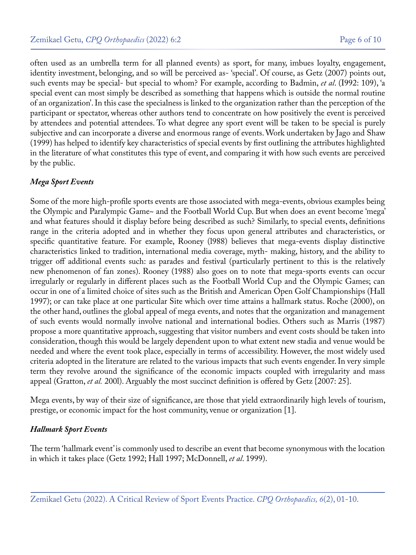often used as an umbrella term for all planned events) as sport, for many, imbues loyalty, engagement, identity investment, belonging, and so will be perceived as- 'special'. Of course, as Getz (2007) points out, such events may be special- but special to whom? For example, according to Badmin, *et al*. (I992: 109), 'a special event can most simply be described as something that happens which is outside the normal routine of an organization'. In this case the specialness is linked to the organization rather than the perception of the participant or spectator, whereas other authors tend to concentrate on how positively the event is perceived by attendees and potential attendees. To what degree any sport event will be taken to be special is purely subjective and can incorporate a diverse and enormous range of events. Work undertaken by Jago and Shaw (1999) has helped to identify key characteristics of special events by first outlining the attributes highlighted in the literature of what constitutes this type of event, and comparing it with how such events are perceived by the public.

### *Mega Sport Events*

Some of the more high-profile sports events are those associated with mega-events, obvious examples being the Olympic and Paralympic Game~ and the Football World Cup. But when does an event become 'mega' and what features should it display before being described as such? Similarly, to special events, definitions range in the criteria adopted and in whether they focus upon general attributes and characteristics, or specific quantitative feature. For example, Rooney (l988) believes that mega-events display distinctive characteristics linked to tradition, international media coverage, myth- making, history, and the ability to trigger off additional events such: as parades and festival (particularly pertinent to this is the relatively new phenomenon of fan zones). Rooney (1988) also goes on to note that mega-sports events can occur irregularly or regularly in different places such as the Football World Cup and the Olympic Games; can occur in one of a limited choice of sites such as the British and American Open Golf Championships (Hall 1997); or can take place at one particular Site which over time attains a hallmark status. Roche (2000), on the other hand, outlines the global appeal of mega events, and notes that the organization and management of such events would normally involve national and international bodies. Others such as Marris (1987) propose a more quantitative approach, suggesting that visitor numbers and event costs should be taken into consideration, though this would be largely dependent upon to what extent new stadia and venue would be needed and where the event took place, especially in terms of accessibility. However, the most widely used criteria adopted in the literature are related to the various impacts that such events engender. In very simple term they revolve around the significance of the economic impacts coupled with irregularity and mass appeal (Gratton, *et al.* 200l). Arguably the most succinct definition is offered by Getz {2007: 25}.

Mega events, by way of their size of significance, are those that yield extraordinarily high levels of tourism, prestige, or economic impact for the host community, venue or organization [1].

### *Hallmark Sport Events*

The term 'hallmark event' is commonly used to describe an event that become synonymous with the location in which it takes place (Getz 1992; Hall 1997; McDonnell, *et al*. 1999).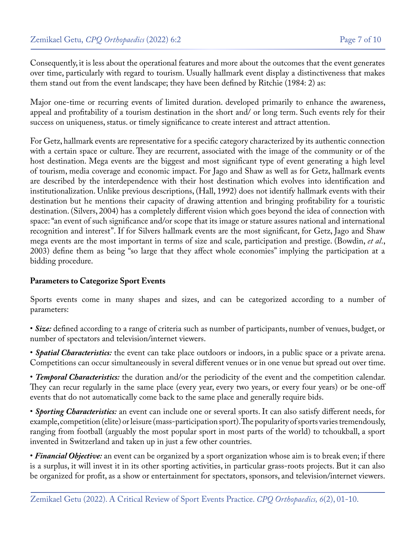Consequently, it is less about the operational features and more about the outcomes that the event generates over time, particularly with regard to tourism. Usually hallmark event display a distinctiveness that makes them stand out from the event landscape; they have been defined by Ritchie (1984: 2) as:

Major one-time or recurring events of limited duration. developed primarily to enhance the awareness, appeal and profitability of a tourism destination in the short and/ or long term. Such events rely for their success on uniqueness, status. or timely significance to create interest and attract attention.

For Getz, hallmark events are representative for a specific category characterized by its authentic connection with a certain space or culture. They are recurrent, associated with the image of the community or of the host destination. Mega events are the biggest and most significant type of event generating a high level of tourism, media coverage and economic impact. For Jago and Shaw as well as for Getz, hallmark events are described by the interdependence with their host destination which evolves into identification and institutionalization. Unlike previous descriptions, (Hall, 1992) does not identify hallmark events with their destination but he mentions their capacity of drawing attention and bringing profitability for a touristic destination. (Silvers, 2004) has a completely different vision which goes beyond the idea of connection with space: "an event of such significance and/or scope that its image or stature assures national and international recognition and interest". If for Silvers hallmark events are the most significant, for Getz, Jago and Shaw mega events are the most important in terms of size and scale, participation and prestige. (Bowdin, *et al*., 2003) define them as being "so large that they affect whole economies" implying the participation at a bidding procedure.

### **Parameters to Categorize Sport Events**

Sports events come in many shapes and sizes, and can be categorized according to a number of parameters:

• *Size:* defined according to a range of criteria such as number of participants, number of venues, budget, or number of spectators and television/internet viewers.

• *Spatial Characteristics:* the event can take place outdoors or indoors, in a public space or a private arena. Competitions can occur simultaneously in several different venues or in one venue but spread out over time.

• *Temporal Characteristics:* the duration and/or the periodicity of the event and the competition calendar. They can recur regularly in the same place (every year, every two years, or every four years) or be one-off events that do not automatically come back to the same place and generally require bids.

• *Sporting Characteristics:* an event can include one or several sports. It can also satisfy different needs, for example, competition (elite) or leisure (mass-participation sport). The popularity of sports varies tremendously, ranging from football (arguably the most popular sport in most parts of the world) to tchoukball, a sport invented in Switzerland and taken up in just a few other countries.

• *Financial Objective:* an event can be organized by a sport organization whose aim is to break even; if there is a surplus, it will invest it in its other sporting activities, in particular grass-roots projects. But it can also be organized for profit, as a show or entertainment for spectators, sponsors, and television/internet viewers.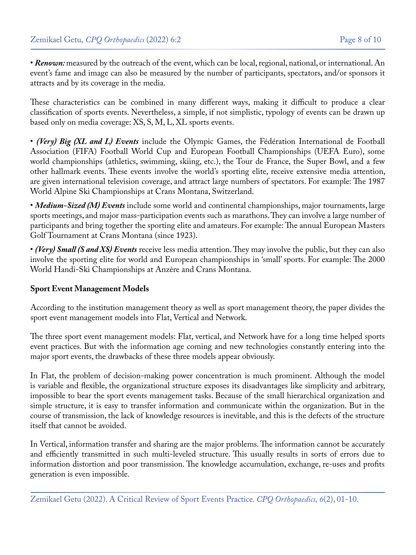• *Renown:* measured by the outreach of the event, which can be local, regional, national, or international. An event's fame and image can also be measured by the number of participants, spectators, and/or sponsors it attracts and by its coverage in the media.

These characteristics can be combined in many different ways, making it difficult to produce a clear classification of sports events. Nevertheless, a simple, if not simplistic, typology of events can be drawn up based only on media coverage: XS, S, M, L, XL sports events.

• *(Very) Big (XL and L) Events* include the Olympic Games, the Fédération International de Football Association (FIFA) Football World Cup and European Football Championships (UEFA Euro), some world championships (athletics, swimming, skiing, etc.), the Tour de France, the Super Bowl, and a few other hallmark events. These events involve the world's sporting elite, receive extensive media attention, are given international television coverage, and attract large numbers of spectators. For example: The 1987 World Alpine Ski Championships at Crans Montana, Switzerland.

• *Medium-Sized (M) Events* include some world and continental championships, major tournaments, large sports meetings, and major mass-participation events such as marathons. They can involve a large number of participants and bring together the sporting elite and amateurs. For example: The annual European Masters Golf Tournament at Crans Montana (since 1923).

• *(Very) Small (S and XS) Events* receive less media attention. They may involve the public, but they can also involve the sporting elite for world and European championships in 'small' sports. For example: The 2000 World Handi-Ski Championships at Anzère and Crans Montana.

### **Sport Event Management Models**

According to the institution management theory as well as sport management theory, the paper divides the sport event management models into Flat, Vertical and Network.

The three sport event management models: Flat, vertical, and Network have for a long time helped sports event practices. But with the information age coming and new technologies constantly entering into the major sport events, the drawbacks of these three models appear obviously.

In Flat, the problem of decision-making power concentration is much prominent. Although the model is variable and flexible, the organizational structure exposes its disadvantages like simplicity and arbitrary, impossible to bear the sport events management tasks. Because of the small hierarchical organization and simple structure, it is easy to transfer information and communicate within the organization. But in the course of transmission, the lack of knowledge resources is inevitable, and this is the defects of the structure itself that cannot be avoided.

In Vertical, information transfer and sharing are the major problems. The information cannot be accurately and efficiently transmitted in such multi-leveled structure. This usually results in sorts of errors due to information distortion and poor transmission. The knowledge accumulation, exchange, re-uses and profits generation is even impossible.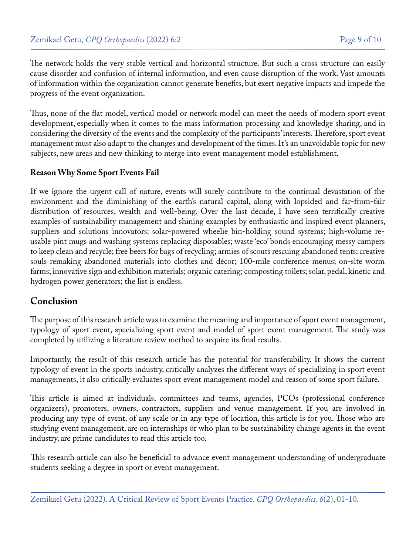The network holds the very stable vertical and horizontal structure. But such a cross structure can easily cause disorder and confusion of internal information, and even cause disruption of the work. Vast amounts of information within the organization cannot generate benefits, but exert negative impacts and impede the progress of the event organization.

Thus, none of the flat model, vertical model or network model can meet the needs of modern sport event development, especially when it comes to the mass information processing and knowledge sharing, and in considering the diversity of the events and the complexity of the participants' interests. Therefore, sport event management must also adapt to the changes and development of the times. It's an unavoidable topic for new subjects, new areas and new thinking to merge into event management model establishment.

### **Reason Why Some Sport Events Fail**

If we ignore the urgent call of nature, events will surely contribute to the continual devastation of the environment and the diminishing of the earth's natural capital, along with lopsided and far-from-fair distribution of resources, wealth and well-being. Over the last decade, I have seen terrifically creative examples of sustainability management and shining examples by enthusiastic and inspired event planners, suppliers and solutions innovators: solar-powered wheelie bin-holding sound systems; high-volume reusable pint mugs and washing systems replacing disposables; waste 'eco' bonds encouraging messy campers to keep clean and recycle; free beers for bags of recycling; armies of scouts rescuing abandoned tents; creative souls remaking abandoned materials into clothes and décor; 100-mile conference menus; on-site worm farms; innovative sign and exhibition materials; organic catering; composting toilets; solar, pedal, kinetic and hydrogen power generators; the list is endless.

## **Conclusion**

The purpose of this research article was to examine the meaning and importance of sport event management, typology of sport event, specializing sport event and model of sport event management. The study was completed by utilizing a literature review method to acquire its final results.

Importantly, the result of this research article has the potential for transferability. It shows the current typology of event in the sports industry, critically analyzes the different ways of specializing in sport event managements, it also critically evaluates sport event management model and reason of some sport failure.

This article is aimed at individuals, committees and teams, agencies, PCOs (professional conference organizers), promoters, owners, contractors, suppliers and venue management. If you are involved in producing any type of event, of any scale or in any type of location, this article is for you. Those who are studying event management, are on internships or who plan to be sustainability change agents in the event industry, are prime candidates to read this article too.

This research article can also be beneficial to advance event management understanding of undergraduate students seeking a degree in sport or event management.